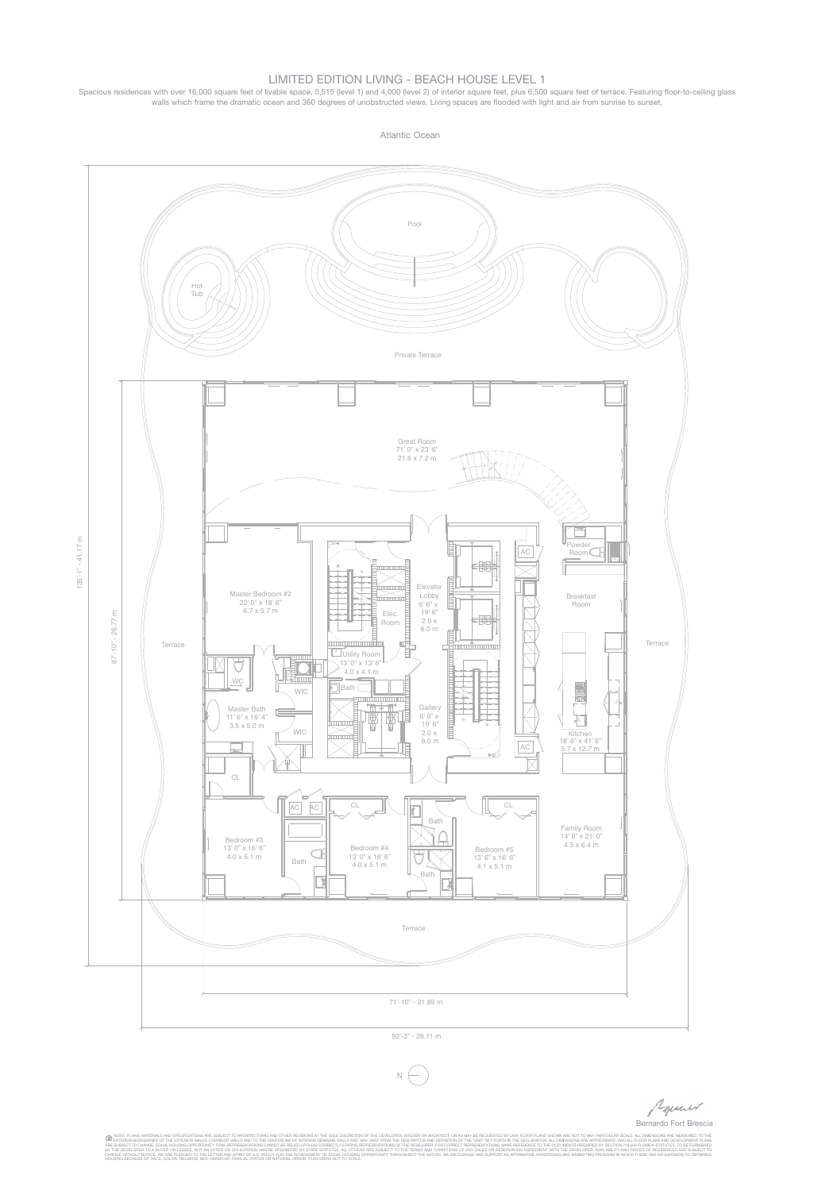Bernardo Fort Brescia

NOTE: PLANS, MATERIALS AND SPECIFICATIONS ARE SUBJECT TO ARCHITECTURAL AND OTHER REVISIONS AT THE SOLE DISCRETION OF THE DEVELOPER, BUILDER OR ARCHITECT, OR AS MAY BE RECUESTED BY LAW. FLOOR PLANS SHOWN ARE NOT TO ANY PART

## Limited editiOn Living - BeACH HOUSe LeveL 1

Spacious residences with over 16,000 square feet of livable space, 5,515 (level 1) and 4,000 (level 2) of interior square feet, plus 6,500 square feet of terrace. Featuring floor-to-ceiling glass walls which frame the dramatic ocean and 360 degrees of unobstructed views. Living spaces are flooded with light and air from sunrise to sunset.

Atlantic Ocean



92'-3" - 28.11 m



Popular